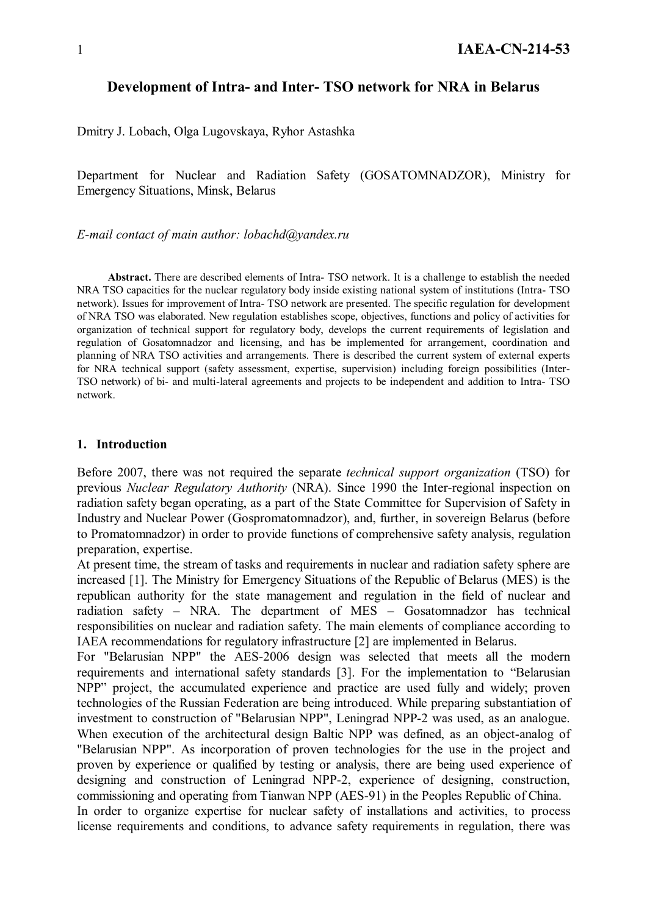#### **Development of Intra- and Inter- TSO network for NRA in Belarus**

Dmitry J. Lobach, Olga Lugovskaya, Ryhor Astashka

Department for Nuclear and Radiation Safety (GOSATOMNADZOR), Ministry for Emergency Situations, Minsk, Belarus

*E-mail contact of main author: lobachd@yandex.ru*

**Abstract.** There are described elements of Intra- TSO network. It is a challenge to establish the needed NRA TSO capacities for the nuclear regulatory body inside existing national system of institutions (Intra- TSO network). Issues for improvement of Intra- TSO network are presented. The specific regulation for development of NRA TSO was elaborated. New regulation establishes scope, objectives, functions and policy of activities for organization of technical support for regulatory body, develops the current requirements of legislation and regulation of Gosatomnadzor and licensing, and has be implemented for arrangement, coordination and planning of NRA TSO activities and arrangements. There is described the current system of external experts for NRA technical support (safety assessment, expertise, supervision) including foreign possibilities (Inter-TSO network) of bi- and multi-lateral agreements and projects to be independent and addition to Intra- TSO network.

#### **1. Introduction**

Before 2007, there was not required the separate *technical support organization* (TSO) for previous *Nuclear Regulatory Authority* (NRA). Since 1990 the Inter-regional inspection on radiation safety began operating, as a part of the State Committee for Supervision of Safety in Industry and Nuclear Power (Gospromatomnadzor), and, further, in sovereign Belarus (before to Promatomnadzor) in order to provide functions of comprehensive safety analysis, regulation preparation, expertise.

At present time, the stream of tasks and requirements in nuclear and radiation safety sphere are increased [1]. The Ministry for Emergency Situations of the Republic of Belarus (MES) is the republican authority for the state management and regulation in the field of nuclear and radiation safety – NRA. The department of MES – Gosatomnadzor has technical responsibilities on nuclear and radiation safety. The main elements of compliance according to IAEA recommendations for regulatory infrastructure [2] are implemented in Belarus.

For "Belarusian NPP" the AES-2006 design was selected that meets all the modern requirements and international safety standards [3]. For the implementation to "Belarusian NPP" project, the accumulated experience and practice are used fully and widely; proven technologies of the Russian Federation are being introduced. While preparing substantiation of investment to construction of "Belarusian NPP", Leningrad NPP-2 was used, as an analogue. When execution of the architectural design Baltic NPP was defined, as an object-analog of "Belarusian NPP". As incorporation of proven technologies for the use in the project and proven by experience or qualified by testing or analysis, there are being used experience of designing and construction of Leningrad NPP-2, experience of designing, construction, commissioning and operating from Tianwan NPP (AES-91) in the Peoples Republic of China.

In order to organize expertise for nuclear safety of installations and activities, to process license requirements and conditions, to advance safety requirements in regulation, there was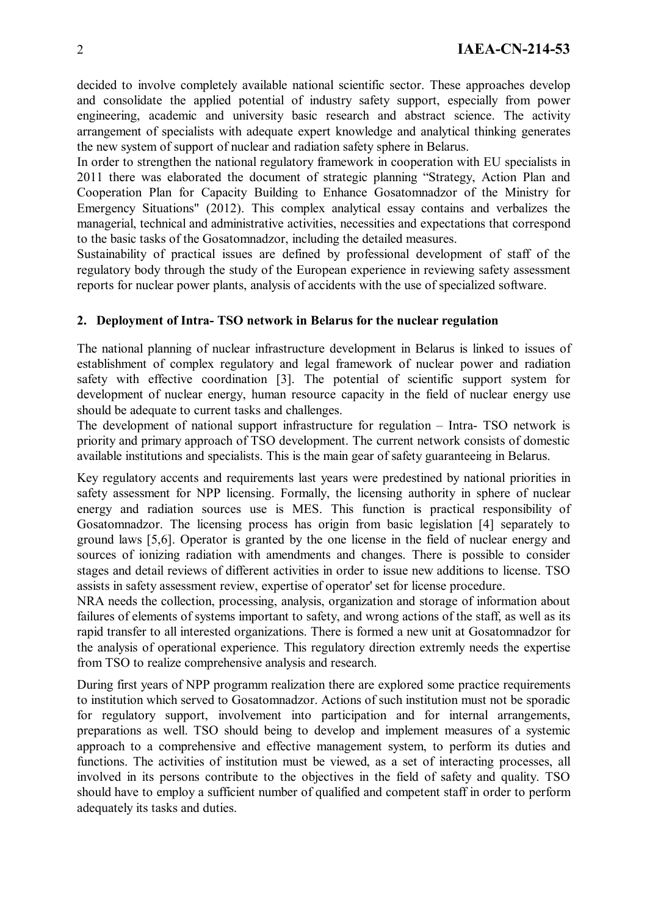decided to involve completely available national scientific sector. These approaches develop and consolidate the applied potential of industry safety support, especially from power engineering, academic and university basic research and abstract science. The activity arrangement of specialists with adequate expert knowledge and analytical thinking generates the new system of support of nuclear and radiation safety sphere in Belarus.

In order to strengthen the national regulatory framework in cooperation with EU specialists in 2011 there was elaborated the document of strategic planning "Strategy, Action Plan and Cooperation Plan for Capacity Building to Enhance Gosatomnadzor of the Ministry for Emergency Situations" (2012). This complex analytical essay contains and verbalizes the managerial, technical and administrative activities, necessities and expectations that correspond to the basic tasks of the Gosatomnadzor, including the detailed measures.

Sustainability of practical issues are defined by professional development of staff of the regulatory body through the study of the European experience in reviewing safety assessment reports for nuclear power plants, analysis of accidents with the use of specialized software.

### **2. Deployment of Intra- TSO network in Belarus for the nuclear regulation**

The national planning of nuclear infrastructure development in Belarus is linked to issues of establishment of complex regulatory and legal framework of nuclear power and radiation safety with effective coordination [3]. The potential of scientific support system for development of nuclear energy, human resource capacity in the field of nuclear energy use should be adequate to current tasks and challenges.

The development of national support infrastructure for regulation – Intra- TSO network is priority and primary approach of TSO development. The current network consists of domestic available institutions and specialists. This is the main gear of safety guaranteeing in Belarus.

Key regulatory accents and requirements last years were predestined by national priorities in safety assessment for NPP licensing. Formally, the licensing authority in sphere of nuclear energy and radiation sources use is MES. This function is practical responsibility of Gosatomnadzor. The licensing process has origin from basic legislation [4] separately to ground laws [5,6]. Operator is granted by the one license in the field of nuclear energy and sources of ionizing radiation with amendments and changes. There is possible to consider stages and detail reviews of different activities in order to issue new additions to license. TSO assists in safety assessment review, expertise of operator' set for license procedure.

NRA needs the collection, processing, analysis, organization and storage of information about failures of elements of systems important to safety, and wrong actions of the staff, as well as its rapid transfer to all interested organizations. There is formed a new unit at Gosatomnadzor for the analysis of operational experience. This regulatory direction extremly needs the expertise from TSO to realize comprehensive analysis and research.

During first years of NPP programm realization there are explored some practice requirements to institution which served to Gosatomnadzor. Actions of such institution must not be sporadic for regulatory support, involvement into participation and for internal arrangements, preparations as well. TSO should being to develop and implement measures of a systemic approach to a comprehensive and effective management system, to perform its duties and functions. The activities of institution must be viewed, as a set of interacting processes, all involved in its persons contribute to the objectives in the field of safety and quality. TSO should have to employ a sufficient number of qualified and competent staff in order to perform adequately its tasks and duties.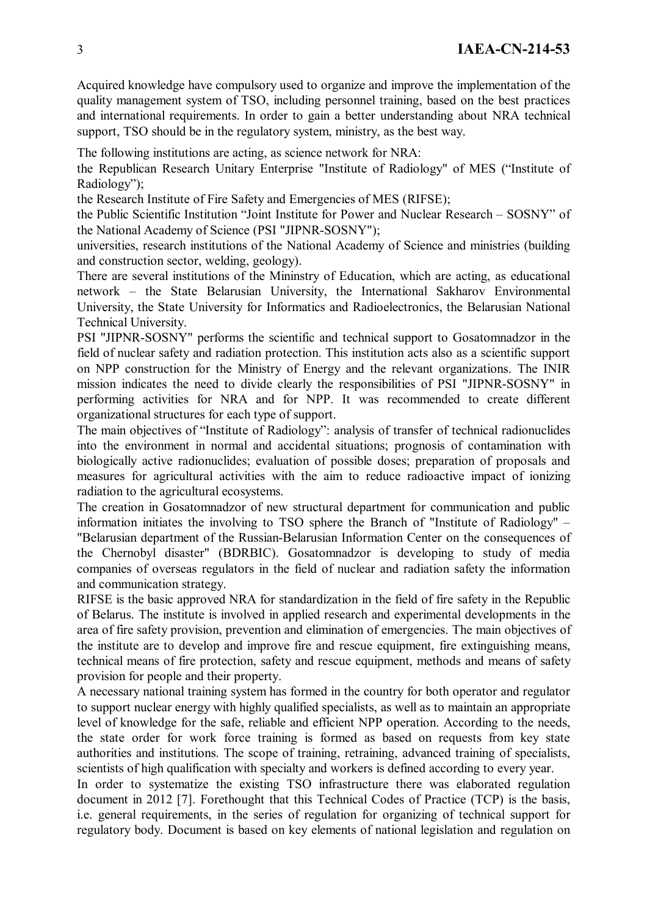Acquired knowledge have compulsory used to organize and improve the implementation of the quality management system of TSO, including personnel training, based on the best practices and international requirements. In order to gain a better understanding about NRA technical support, TSO should be in the regulatory system, ministry, as the best way.

The following institutions are acting, as science network for NRA:

the Republican Research Unitary Enterprise "Institute of Radiology" of MES ("Institute of Radiology");

the Research Institute of Fire Safety and Emergencies of MES (RIFSE);

the Public Scientific Institution "Joint Institute for Power and Nuclear Research – SOSNY" of the National Academy of Science (PSI "JIPNR-SOSNY");

universities, research institutions of the National Academy of Science and ministries (building and construction sector, welding, geology).

There are several institutions of the Mininstry of Education, which are acting, as educational network – the State Belarusian University, the International Sakharov Environmental University, the State University for Informatics and Radioelectronics, the Belarusian National Technical University.

PSI "JIPNR-SOSNY" performs the scientific and technical support to Gosatomnadzor in the field of nuclear safety and radiation protection. This institution acts also as a scientific support on NPP construction for the Ministry of Energy and the relevant organizations. The INIR mission indicates the need to divide clearly the responsibilities of PSI "JIPNR-SOSNY" in performing activities for NRA and for NPP. It was recommended to create different organizational structures for each type of support.

The main objectives of "Institute of Radiology": analysis of transfer of technical radionuclides into the environment in normal and accidental situations; prognosis of contamination with biologically active radionuclides; evaluation of possible doses; preparation of proposals and measures for agricultural activities with the aim to reduce radioactive impact of ionizing radiation to the agricultural ecosystems.

The creation in Gosatomnadzor of new structural department for communication and public information initiates the involving to TSO sphere the Branch of "Institute of Radiology" – "Belarusian department of the Russian-Belarusian Information Center on the consequences of the Chernobyl disaster" (BDRBIC). Gosatomnadzor is developing to study of media companies of overseas regulators in the field of nuclear and radiation safety the information and communication strategy.

RIFSE is the basic approved NRA for standardization in the field of fire safety in the Republic of Belarus. The institute is involved in applied research and experimental developments in the area of fire safety provision, prevention and elimination of emergencies. The main objectives of the institute are to develop and improve fire and rescue equipment, fire extinguishing means, technical means of fire protection, safety and rescue equipment, methods and means of safety provision for people and their property.

A necessary national training system has formed in the country for both operator and regulator to support nuclear energy with highly qualified specialists, as well as to maintain an appropriate level of knowledge for the safe, reliable and efficient NPP operation. According to the needs, the state order for work force training is formed as based on requests from key state authorities and institutions. The scope of training, retraining, advanced training of specialists, scientists of high qualification with specialty and workers is defined according to every year.

In order to systematize the existing TSO infrastructure there was elaborated regulation document in 2012 [7]. Forethought that this Technical Codes of Practice (TCP) is the basis, i.e. general requirements, in the series of regulation for organizing of technical support for regulatory body. Document is based on key elements of national legislation and regulation on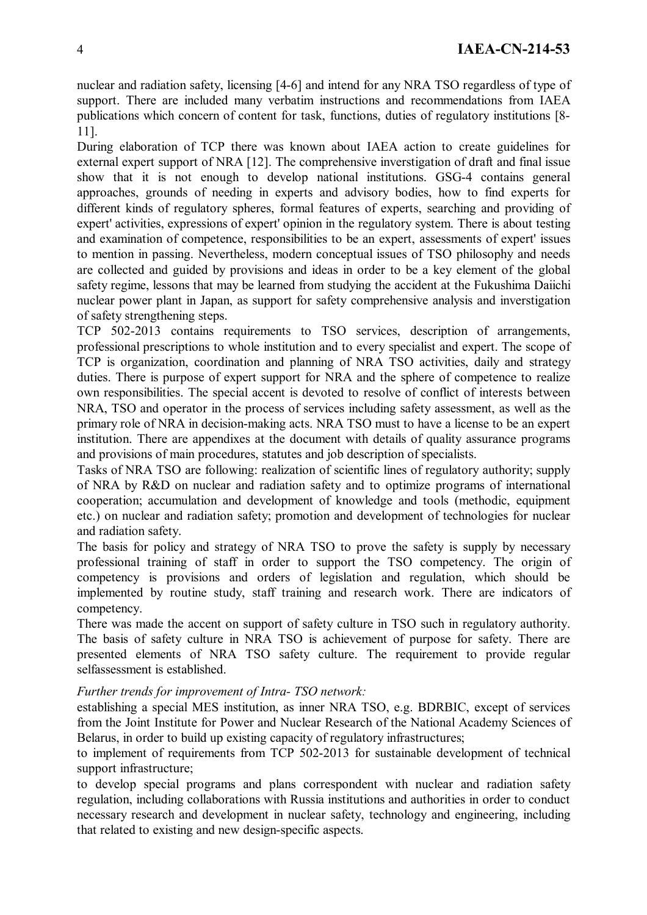nuclear and radiation safety, licensing [4-6] and intend for any NRA TSO regardless of type of support. There are included many verbatim instructions and recommendations from IAEA publications which concern of content for task, functions, duties of regulatory institutions [8- 11].

During elaboration of TCP there was known about IAEA action to create guidelines for external expert support of NRA [12]. The comprehensive inverstigation of draft and final issue show that it is not enough to develop national institutions. GSG-4 contains general approaches, grounds of needing in experts and advisory bodies, how to find experts for different kinds of regulatory spheres, formal features of experts, searching and providing of expert' activities, expressions of expert' opinion in the regulatory system. There is about testing and examination of competence, responsibilities to be an expert, assessments of expert' issues to mention in passing. Nevertheless, modern conceptual issues of TSO philosophy and needs are collected and guided by provisions and ideas in order to be a key element of the global safety regime, lessons that may be learned from studying the accident at the Fukushima Daiichi nuclear power plant in Japan, as support for safety comprehensive analysis and inverstigation of safety strengthening steps.

TCP 502-2013 contains requirements to TSO services, description of arrangements, professional prescriptions to whole institution and to every specialist and expert. The scope of TCP is organization, coordination and planning of NRA TSO activities, daily and strategy duties. There is purpose of expert support for NRA and the sphere of competence to realize own responsibilities. The special accent is devoted to resolve of conflict of interests between NRA, TSO and operator in the process of services including safety assessment, as well as the primary role of NRA in decision-making acts. NRA TSO must to have a license to be an expert institution. There are appendixes at the document with details of quality assurance programs and provisions of main procedures, statutes and job description of specialists.

Tasks of NRA TSO are following: realization of scientific lines of regulatory authority; supply of NRA by R&D on nuclear and radiation safety and to optimize programs of international cooperation; accumulation and development of knowledge and tools (methodic, equipment etc.) on nuclear and radiation safety; promotion and development of technologies for nuclear and radiation safety.

The basis for policy and strategy of NRA TSO to prove the safety is supply by necessary professional training of staff in order to support the TSO competency. The origin of competency is provisions and orders of legislation and regulation, which should be implemented by routine study, staff training and research work. There are indicators of competency.

There was made the accent on support of safety culture in TSO such in regulatory authority. The basis of safety culture in NRA TSO is achievement of purpose for safety. There are presented elements of NRA TSO safety culture. The requirement to provide regular selfassessment is established.

#### *Further trends for improvement of Intra- TSO network:*

establishing a special MES institution, as inner NRA TSO, e.g. BDRBIC, except of services from the Joint Institute for Power and Nuclear Research of the National Academy Sciences of Belarus, in order to build up existing capacity of regulatory infrastructures;

to implement of requirements from TCP 502-2013 for sustainable development of technical support infrastructure;

to develop special programs and plans correspondent with nuclear and radiation safety regulation, including collaborations with Russia institutions and authorities in order to conduct necessary research and development in nuclear safety, technology and engineering, including that related to existing and new design-specific aspects.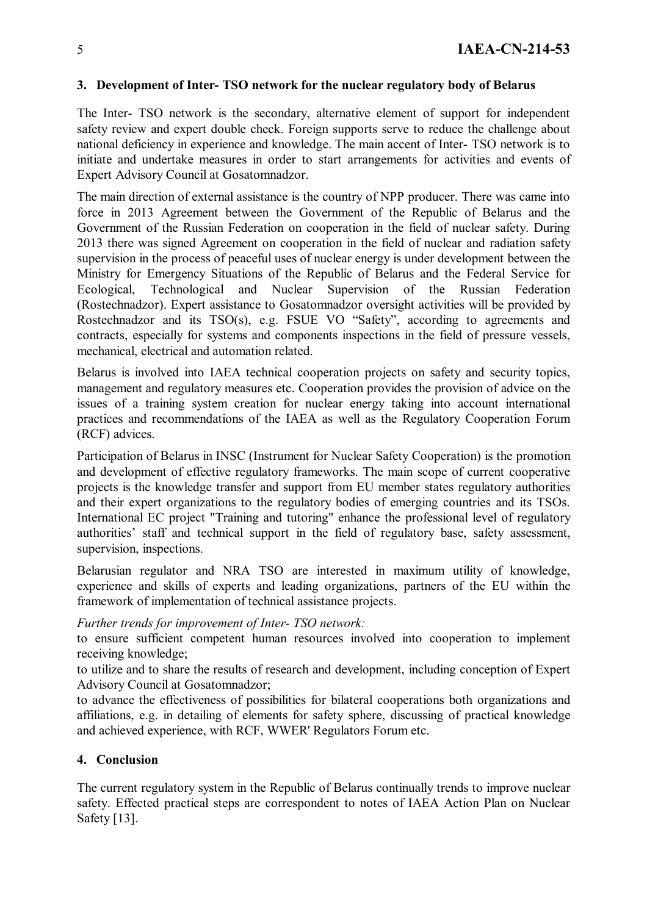#### **3. Development of Inter- TSO network for the nuclear regulatory body of Belarus**

The Inter- TSO network is the secondary, alternative element of support for independent safety review and expert double check. Foreign supports serve to reduce the challenge about national deficiency in experience and knowledge. The main accent of Inter- TSO network is to initiate and undertake measures in order to start arrangements for activities and events of Expert Advisory Council at Gosatomnadzor.

The main direction of external assistance is the country of NPP producer. There was came into force in 2013 Agreement between the Government of the Republic of Belarus and the Government of the Russian Federation on cooperation in the field of nuclear safety. During 2013 there was signed Agreement on cooperation in the field of nuclear and radiation safety supervision in the process of peaceful uses of nuclear energy is under development between the Ministry for Emergency Situations of the Republic of Belarus and the Federal Service for Ecological, Technological and Nuclear Supervision of the Russian Federation (Rostechnadzor). Expert assistance to Gosatomnadzor oversight activities will be provided by Rostechnadzor and its TSO(s), e.g. FSUE VO "Safety", according to agreements and contracts, especially for systems and components inspections in the field of pressure vessels, mechanical, electrical and automation related.

Belarus is involved into IAEA technical cooperation projects on safety and security topics, management and regulatory measures etc. Cooperation provides the provision of advice on the issues of a training system creation for nuclear energy taking into account international practices and recommendations of the IAEA as well as the Regulatory Cooperation Forum (RCF) advices.

Participation of Belarus in INSC (Instrument for Nuclear Safety Cooperation) is the promotion and development of effective regulatory frameworks. The main scope of current cooperative projects is the knowledge transfer and support from EU member states regulatory authorities and their expert organizations to the regulatory bodies of emerging countries and its TSOs. International EC project "Training and tutoring" enhance the professional level of regulatory authorities' staff and technical support in the field of regulatory base, safety assessment, supervision, inspections.

Belarusian regulator and NRA TSO are interested in maximum utility of knowledge, experience and skills of experts and leading organizations, partners of the EU within the framework of implementation of technical assistance projects.

#### *Further trends for improvement of Inter- TSO network:*

to ensure sufficient competent human resources involved into cooperation to implement receiving knowledge;

to utilize and to share the results of research and development, including conception of Expert Advisory Council at Gosatomnadzor;

to advance the effectiveness of possibilities for bilateral cooperations both organizations and affiliations, e.g. in detailing of elements for safety sphere, discussing of practical knowledge and achieved experience, with RCF, WWER' Regulators Forum etc.

## **4. Conclusion**

The current regulatory system in the Republic of Belarus continually trends to improve nuclear safety. Effected practical steps are correspondent to notes of IAEA Action Plan on Nuclear Safety [13].